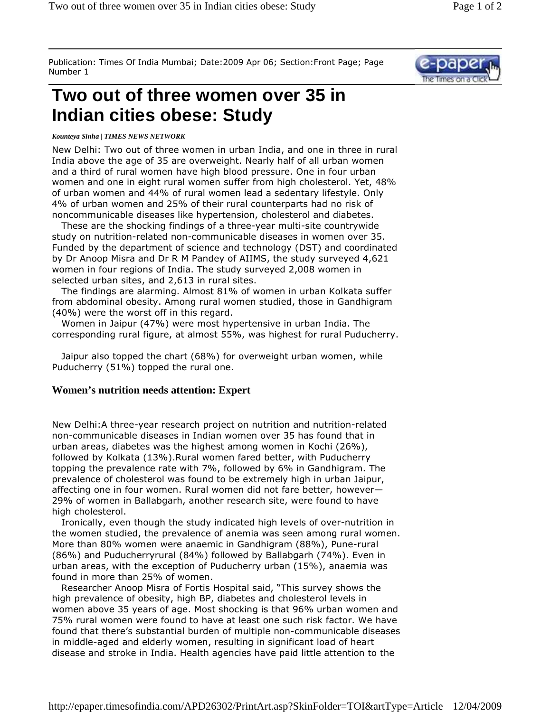Publication: Times Of India Mumbai; Date:2009 Apr 06; Section:Front Page; Page Number 1

## **Two out of three women over 35 in Indian cities obese: Study**

## *Kounteya Sinha | TIMES NEWS NETWORK*

New Delhi: Two out of three women in urban India, and one in three in rural India above the age of 35 are overweight. Nearly half of all urban women and a third of rural women have high blood pressure. One in four urban women and one in eight rural women suffer from high cholesterol. Yet, 48% of urban women and 44% of rural women lead a sedentary lifestyle. Only 4% of urban women and 25% of their rural counterparts had no risk of noncommunicable diseases like hypertension, cholesterol and diabetes.

 These are the shocking findings of a three-year multi-site countrywide study on nutrition-related non-communicable diseases in women over 35. Funded by the department of science and technology (DST) and coordinated by Dr Anoop Misra and Dr R M Pandey of AIIMS, the study surveyed 4,621 women in four regions of India. The study surveyed 2,008 women in selected urban sites, and 2,613 in rural sites.

 The findings are alarming. Almost 81% of women in urban Kolkata suffer from abdominal obesity. Among rural women studied, those in Gandhigram (40%) were the worst off in this regard.

 Women in Jaipur (47%) were most hypertensive in urban India. The corresponding rural figure, at almost 55%, was highest for rural Puducherry.

 Jaipur also topped the chart (68%) for overweight urban women, while Puducherry (51%) topped the rural one.

## **Women's nutrition needs attention: Expert**

New Delhi:A three-year research project on nutrition and nutrition-related non-communicable diseases in Indian women over 35 has found that in urban areas, diabetes was the highest among women in Kochi (26%), followed by Kolkata (13%).Rural women fared better, with Puducherry topping the prevalence rate with 7%, followed by 6% in Gandhigram. The prevalence of cholesterol was found to be extremely high in urban Jaipur, affecting one in four women. Rural women did not fare better, however— 29% of women in Ballabgarh, another research site, were found to have high cholesterol.

 Ironically, even though the study indicated high levels of over-nutrition in the women studied, the prevalence of anemia was seen among rural women. More than 80% women were anaemic in Gandhigram (88%), Pune-rural (86%) and Puducherryrural (84%) followed by Ballabgarh (74%). Even in urban areas, with the exception of Puducherry urban (15%), anaemia was found in more than 25% of women.

 Researcher Anoop Misra of Fortis Hospital said, "This survey shows the high prevalence of obesity, high BP, diabetes and cholesterol levels in women above 35 years of age. Most shocking is that 96% urban women and 75% rural women were found to have at least one such risk factor. We have found that there's substantial burden of multiple non-communicable diseases in middle-aged and elderly women, resulting in significant load of heart disease and stroke in India. Health agencies have paid little attention to the